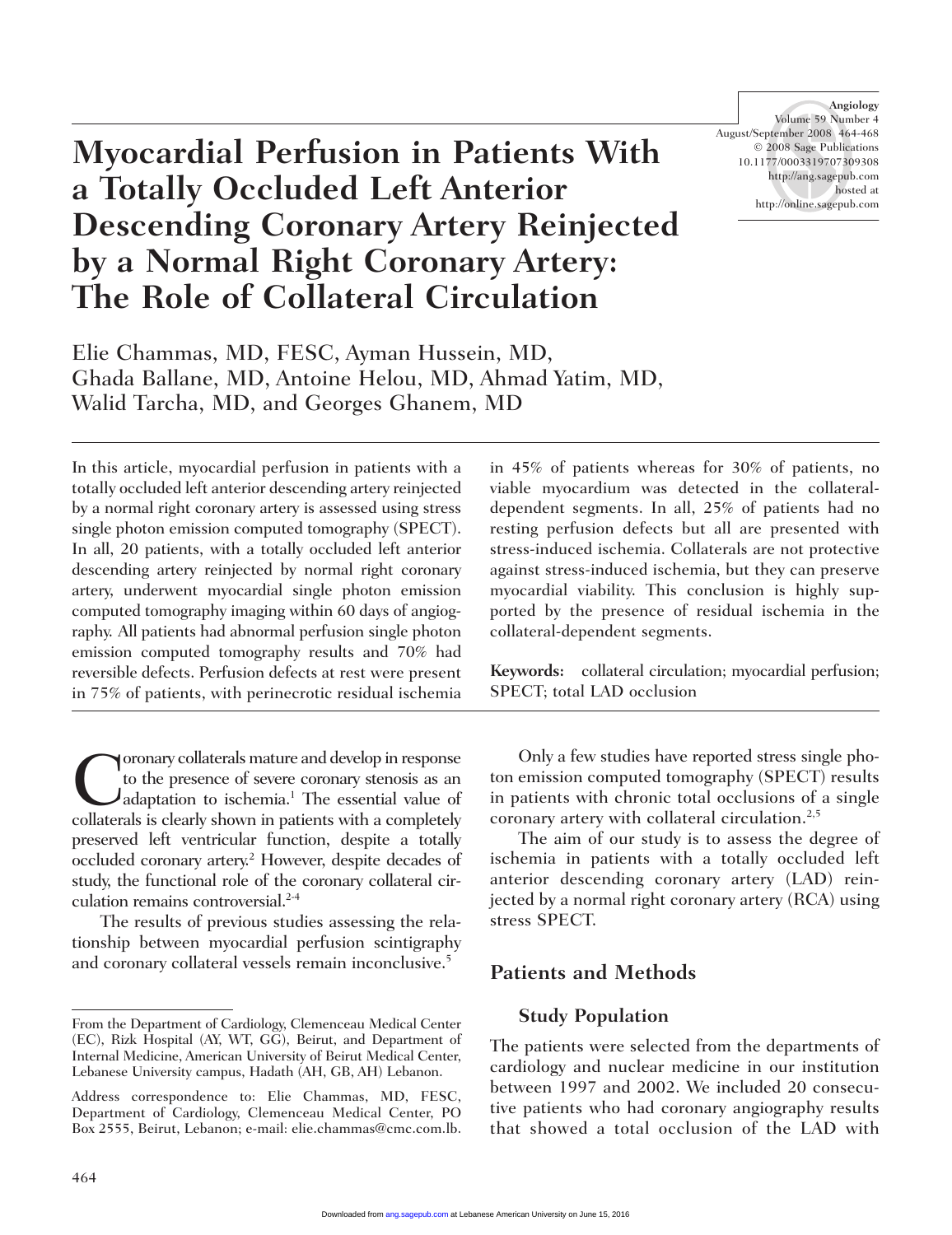# **Myocardial Perfusion in Patients With a Totally Occluded Left Anterior Descending Coronary Artery Reinjected by a Normal Right Coronary Artery: The Role of Collateral Circulation**

**Angiology** Volume 59 Number 4 August/September 2008 464-468 © 2008 Sage Publications 10.1177/0003319707309308 http://ang.sagepub.com hosted at http://online.sagepub.com

Elie Chammas, MD, FESC, Ayman Hussein, MD, Ghada Ballane, MD, Antoine Helou, MD, Ahmad Yatim, MD, Walid Tarcha, MD, and Georges Ghanem, MD

In this article, myocardial perfusion in patients with a totally occluded left anterior descending artery reinjected by a normal right coronary artery is assessed using stress single photon emission computed tomography (SPECT). In all, 20 patients, with a totally occluded left anterior descending artery reinjected by normal right coronary artery, underwent myocardial single photon emission computed tomography imaging within 60 days of angiography. All patients had abnormal perfusion single photon emission computed tomography results and 70% had reversible defects. Perfusion defects at rest were present in 75% of patients, with perinecrotic residual ischemia

oronary collaterals mature and develop in response to the presence of severe coronary stenosis as an  $J$ adaptation to ischemia.<sup>1</sup> The essential value of collaterals is clearly shown in patients with a completely preserved left ventricular function, despite a totally occluded coronary artery.2 However, despite decades of study, the functional role of the coronary collateral circulation remains controversial.<sup>2-4</sup>

The results of previous studies assessing the relationship between myocardial perfusion scintigraphy and coronary collateral vessels remain inconclusive.<sup>5</sup>

in 45% of patients whereas for 30% of patients, no viable myocardium was detected in the collateraldependent segments. In all, 25% of patients had no resting perfusion defects but all are presented with stress-induced ischemia. Collaterals are not protective against stress-induced ischemia, but they can preserve myocardial viability. This conclusion is highly supported by the presence of residual ischemia in the collateral-dependent segments.

**Keywords:** collateral circulation; myocardial perfusion; SPECT; total LAD occlusion

Only a few studies have reported stress single photon emission computed tomography (SPECT) results in patients with chronic total occlusions of a single coronary artery with collateral circulation.<sup>2,5</sup>

The aim of our study is to assess the degree of ischemia in patients with a totally occluded left anterior descending coronary artery (LAD) reinjected by a normal right coronary artery (RCA) using stress SPECT.

# **Patients and Methods**

# **Study Population**

The patients were selected from the departments of cardiology and nuclear medicine in our institution between 1997 and 2002. We included 20 consecutive patients who had coronary angiography results that showed a total occlusion of the LAD with

From the Department of Cardiology, Clemenceau Medical Center (EC), Rizk Hospital (AY, WT, GG), Beirut, and Department of Internal Medicine, American University of Beirut Medical Center, Lebanese University campus, Hadath (AH, GB, AH) Lebanon.

Address correspondence to: Elie Chammas, MD, FESC, Department of Cardiology, Clemenceau Medical Center, PO Box 2555, Beirut, Lebanon; e-mail: elie.chammas@cmc.com.lb.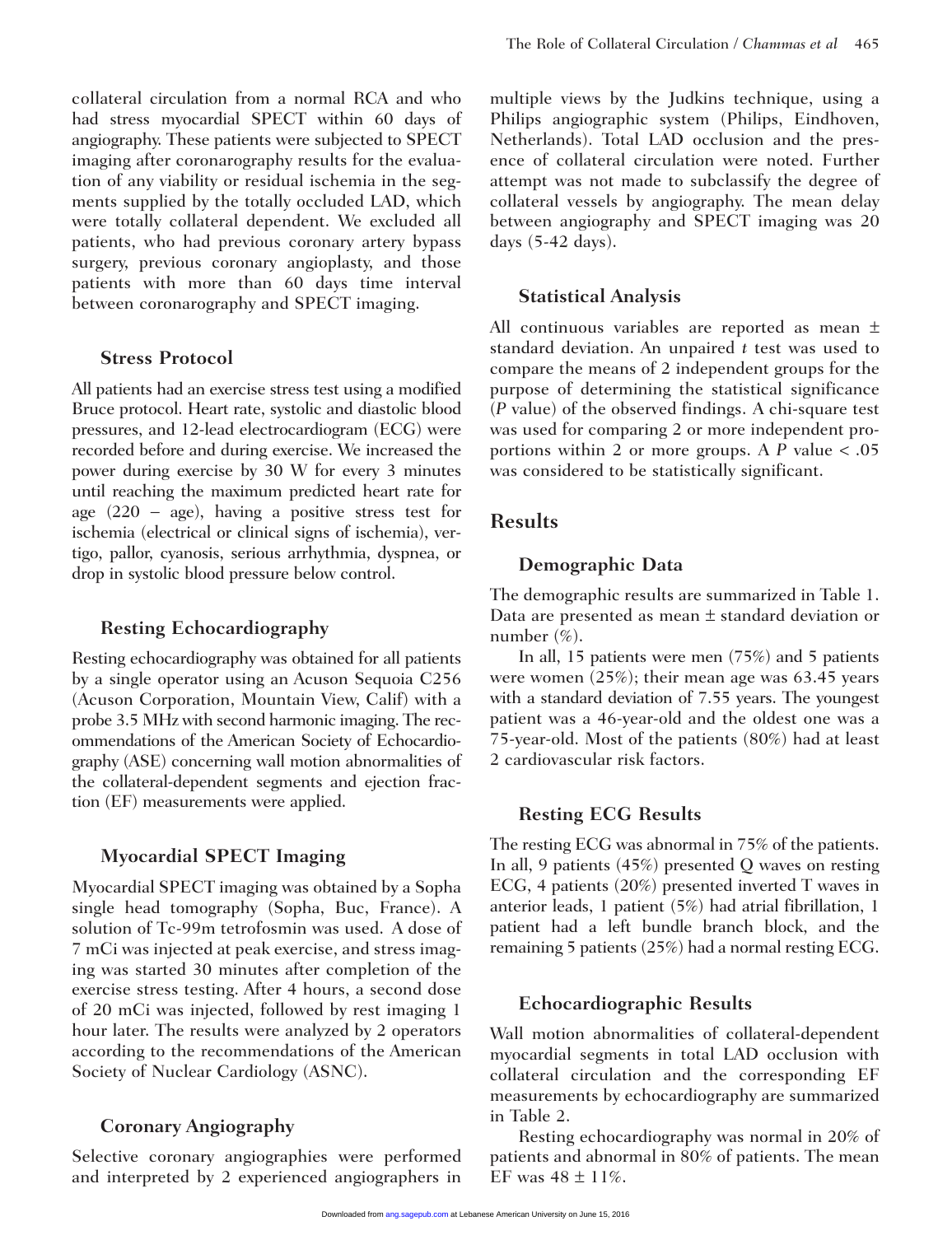collateral circulation from a normal RCA and who had stress myocardial SPECT within 60 days of angiography. These patients were subjected to SPECT imaging after coronarography results for the evaluation of any viability or residual ischemia in the segments supplied by the totally occluded LAD, which were totally collateral dependent. We excluded all patients, who had previous coronary artery bypass surgery, previous coronary angioplasty, and those patients with more than 60 days time interval between coronarography and SPECT imaging.

#### **Stress Protocol**

All patients had an exercise stress test using a modified Bruce protocol. Heart rate, systolic and diastolic blood pressures, and 12-lead electrocardiogram (ECG) were recorded before and during exercise. We increased the power during exercise by 30 W for every 3 minutes until reaching the maximum predicted heart rate for age  $(220 - age)$ , having a positive stress test for ischemia (electrical or clinical signs of ischemia), vertigo, pallor, cyanosis, serious arrhythmia, dyspnea, or drop in systolic blood pressure below control.

#### **Resting Echocardiography**

Resting echocardiography was obtained for all patients by a single operator using an Acuson Sequoia C256 (Acuson Corporation, Mountain View, Calif) with a probe 3.5 MHz with second harmonic imaging. The recommendations of the American Society of Echocardiography (ASE) concerning wall motion abnormalities of the collateral-dependent segments and ejection fraction (EF) measurements were applied.

## **Myocardial SPECT Imaging**

Myocardial SPECT imaging was obtained by a Sopha single head tomography (Sopha, Buc, France). A solution of Tc-99m tetrofosmin was used. A dose of 7 mCi was injected at peak exercise, and stress imaging was started 30 minutes after completion of the exercise stress testing. After 4 hours, a second dose of 20 mCi was injected, followed by rest imaging 1 hour later. The results were analyzed by 2 operators according to the recommendations of the American Society of Nuclear Cardiology (ASNC).

## **Coronary Angiography**

Selective coronary angiographies were performed and interpreted by 2 experienced angiographers in multiple views by the Judkins technique, using a Philips angiographic system (Philips, Eindhoven, Netherlands). Total LAD occlusion and the presence of collateral circulation were noted. Further attempt was not made to subclassify the degree of collateral vessels by angiography. The mean delay between angiography and SPECT imaging was 20 days (5-42 days).

#### **Statistical Analysis**

All continuous variables are reported as mean ± standard deviation. An unpaired *t* test was used to compare the means of 2 independent groups for the purpose of determining the statistical significance (*P* value) of the observed findings. A chi-square test was used for comparing 2 or more independent proportions within 2 or more groups. A *P* value < .05 was considered to be statistically significant.

## **Results**

#### **Demographic Data**

The demographic results are summarized in Table 1. Data are presented as mean ± standard deviation or number (%).

In all, 15 patients were men (75%) and 5 patients were women (25%); their mean age was 63.45 years with a standard deviation of 7.55 years. The youngest patient was a 46-year-old and the oldest one was a 75-year-old. Most of the patients (80%) had at least 2 cardiovascular risk factors.

## **Resting ECG Results**

The resting ECG was abnormal in 75% of the patients. In all, 9 patients (45%) presented Q waves on resting ECG, 4 patients (20%) presented inverted T waves in anterior leads, 1 patient (5%) had atrial fibrillation, 1 patient had a left bundle branch block, and the remaining 5 patients (25%) had a normal resting ECG.

#### **Echocardiographic Results**

Wall motion abnormalities of collateral-dependent myocardial segments in total LAD occlusion with collateral circulation and the corresponding EF measurements by echocardiography are summarized in Table 2.

Resting echocardiography was normal in 20% of patients and abnormal in 80% of patients. The mean EF was  $48 \pm 11\%$ .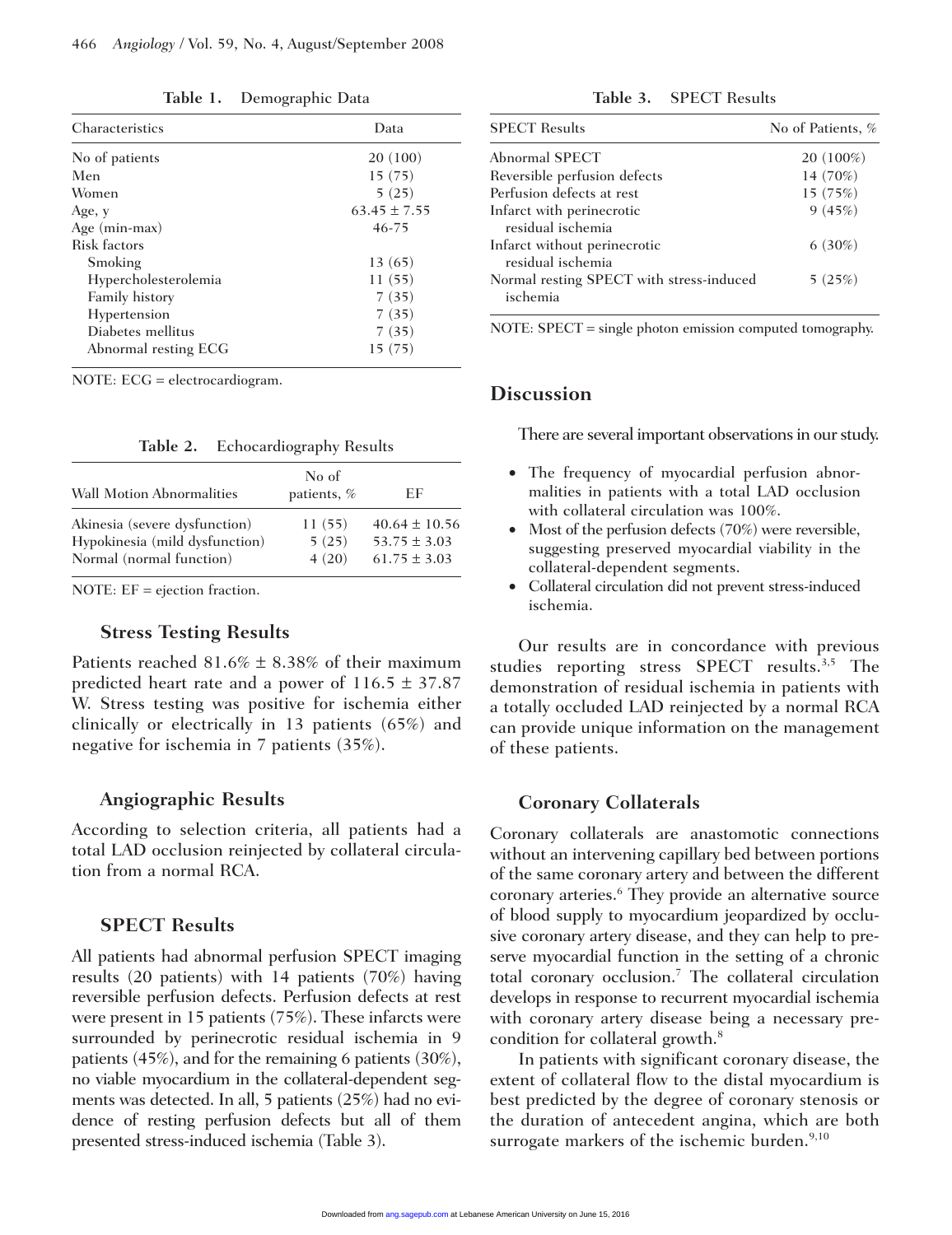|                       | Table 1. Demographic Data |  |  |
|-----------------------|---------------------------|--|--|
| Characteristics       | Data                      |  |  |
| No of patients        | 20(100)                   |  |  |
| Men                   | 15(75)                    |  |  |
| Women                 | 5(25)                     |  |  |
| Age, v                | $63.45 \pm 7.55$          |  |  |
| Age (min-max)         | $46 - 75$                 |  |  |
| <b>Risk factors</b>   |                           |  |  |
| Smoking               | 13(65)                    |  |  |
| Hypercholesterolemia  | 11(55)                    |  |  |
| <b>Family history</b> | 7(35)                     |  |  |

Hypertension 7 (35) Diabetes mellitus 7 (35) Abnormal resting ECG 15 (75)

NOTE: ECG = electrocardiogram.

|  | Table 2. |  |  | <b>Echocardiography Results</b> |  |  |  |
|--|----------|--|--|---------------------------------|--|--|--|
|--|----------|--|--|---------------------------------|--|--|--|

| <b>Wall Motion Abnormalities</b> | No of<br>patients, % | ЕF                |
|----------------------------------|----------------------|-------------------|
| Akinesia (severe dysfunction)    | 11(55)               | $40.64 \pm 10.56$ |
| Hypokinesia (mild dysfunction)   | 5(25)                | $53.75 \pm 3.03$  |
| Normal (normal function)         | 4(20)                | $61.75 \pm 3.03$  |

NOTE: EF = ejection fraction.

#### **Stress Testing Results**

Patients reached 81.6% ± 8.38% of their maximum predicted heart rate and a power of  $116.5 \pm 37.87$ W. Stress testing was positive for ischemia either clinically or electrically in 13 patients (65%) and negative for ischemia in 7 patients (35%).

## **Angiographic Results**

According to selection criteria, all patients had a total LAD occlusion reinjected by collateral circulation from a normal RCA.

## **SPECT Results**

All patients had abnormal perfusion SPECT imaging results (20 patients) with 14 patients (70%) having reversible perfusion defects. Perfusion defects at rest were present in 15 patients (75%). These infarcts were surrounded by perinecrotic residual ischemia in 9 patients (45%), and for the remaining 6 patients (30%), no viable myocardium in the collateral-dependent segments was detected. In all, 5 patients (25%) had no evidence of resting perfusion defects but all of them presented stress-induced ischemia (Table 3).

**Table 3.** SPECT Results

| <b>SPECT Results</b>                                 | No of Patients, % |
|------------------------------------------------------|-------------------|
| Abnormal SPECT                                       | 20 (100%)         |
| Reversible perfusion defects                         | 14 (70%)          |
| Perfusion defects at rest                            | 15 (75%)          |
| Infarct with perinecrotic<br>residual ischemia       | 9(45%)            |
| Infarct without perinecrotic<br>residual ischemia    | 6(30%)            |
| Normal resting SPECT with stress-induced<br>ischemia | 5(25%)            |

NOTE: SPECT = single photon emission computed tomography.

## **Discussion**

There are several important observations in our study.

- The frequency of myocardial perfusion abnormalities in patients with a total LAD occlusion with collateral circulation was 100%.
- Most of the perfusion defects (70%) were reversible, suggesting preserved myocardial viability in the collateral-dependent segments.
- Collateral circulation did not prevent stress-induced ischemia.

Our results are in concordance with previous studies reporting stress SPECT results.<sup>3,5</sup> The demonstration of residual ischemia in patients with a totally occluded LAD reinjected by a normal RCA can provide unique information on the management of these patients.

#### **Coronary Collaterals**

Coronary collaterals are anastomotic connections without an intervening capillary bed between portions of the same coronary artery and between the different coronary arteries.<sup>6</sup> They provide an alternative source of blood supply to myocardium jeopardized by occlusive coronary artery disease, and they can help to preserve myocardial function in the setting of a chronic total coronary occlusion.7 The collateral circulation develops in response to recurrent myocardial ischemia with coronary artery disease being a necessary precondition for collateral growth.8

In patients with significant coronary disease, the extent of collateral flow to the distal myocardium is best predicted by the degree of coronary stenosis or the duration of antecedent angina, which are both surrogate markers of the ischemic burden. $9,10$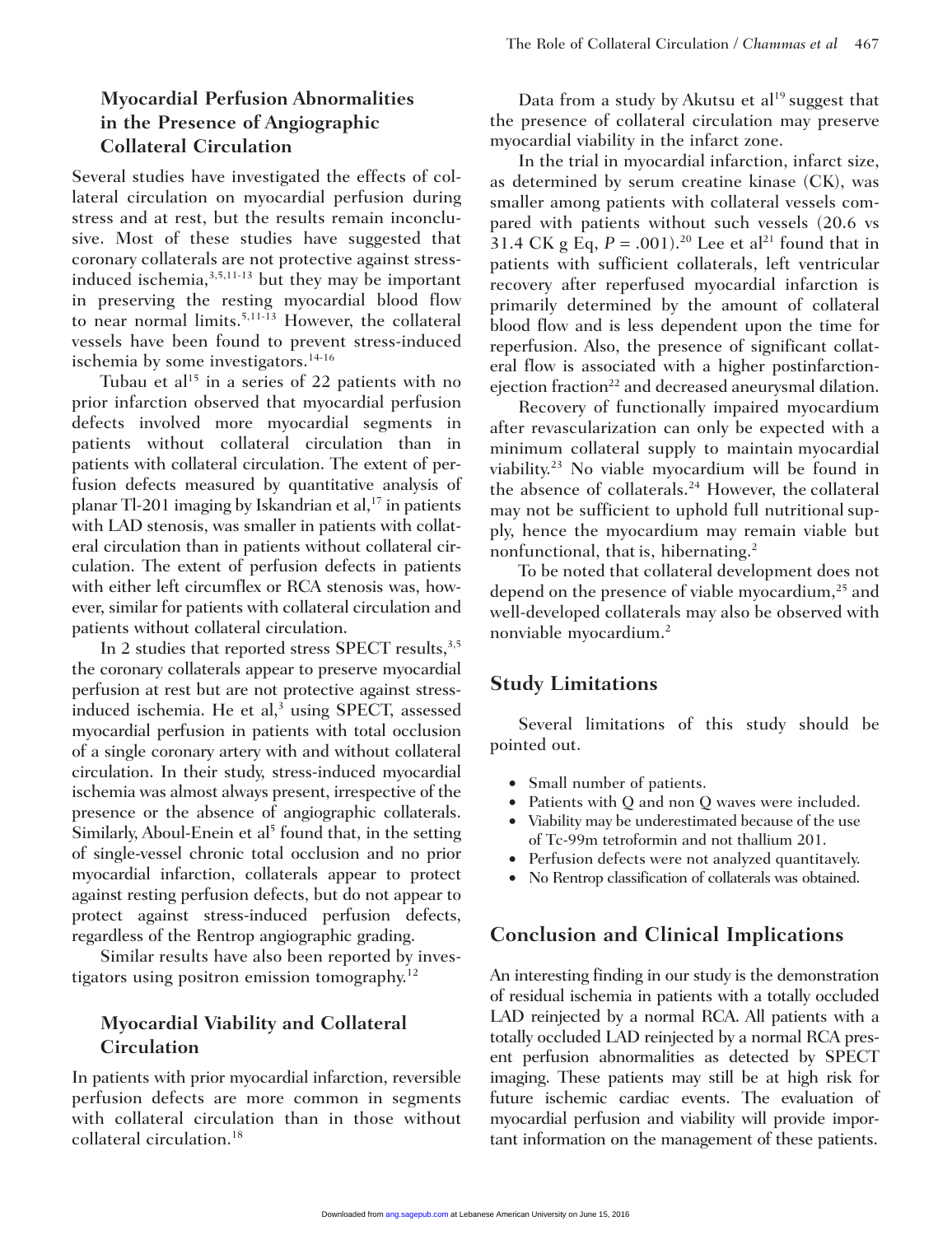# **Myocardial Perfusion Abnormalities in the Presence of Angiographic Collateral Circulation**

Several studies have investigated the effects of collateral circulation on myocardial perfusion during stress and at rest, but the results remain inconclusive. Most of these studies have suggested that coronary collaterals are not protective against stressinduced ischemia, $3,5,11-13$  but they may be important in preserving the resting myocardial blood flow to near normal limits.5,11-13 However, the collateral vessels have been found to prevent stress-induced ischemia by some investigators.<sup>14-16</sup>

Tubau et al<sup>15</sup> in a series of 22 patients with no prior infarction observed that myocardial perfusion defects involved more myocardial segments in patients without collateral circulation than in patients with collateral circulation. The extent of perfusion defects measured by quantitative analysis of planar Tl-201 imaging by Iskandrian et al,<sup>17</sup> in patients with LAD stenosis, was smaller in patients with collateral circulation than in patients without collateral circulation. The extent of perfusion defects in patients with either left circumflex or RCA stenosis was, however, similar for patients with collateral circulation and patients without collateral circulation.

In 2 studies that reported stress SPECT results,<sup>3,5</sup> the coronary collaterals appear to preserve myocardial perfusion at rest but are not protective against stressinduced ischemia. He et al, $3$  using SPECT, assessed myocardial perfusion in patients with total occlusion of a single coronary artery with and without collateral circulation. In their study, stress-induced myocardial ischemia was almost always present, irrespective of the presence or the absence of angiographic collaterals. Similarly, Aboul-Enein et  $a^{5}$  found that, in the setting of single-vessel chronic total occlusion and no prior myocardial infarction, collaterals appear to protect against resting perfusion defects, but do not appear to protect against stress-induced perfusion defects, regardless of the Rentrop angiographic grading.

Similar results have also been reported by investigators using positron emission tomography.12

# **Myocardial Viability and Collateral Circulation**

In patients with prior myocardial infarction, reversible perfusion defects are more common in segments with collateral circulation than in those without collateral circulation.<sup>18</sup>

Data from a study by Akutsu et al<sup>19</sup> suggest that the presence of collateral circulation may preserve myocardial viability in the infarct zone.

In the trial in myocardial infarction, infarct size, as determined by serum creatine kinase (CK), was smaller among patients with collateral vessels compared with patients without such vessels (20.6 vs 31.4 CK g Eq,  $P = .001$ ).<sup>20</sup> Lee et al<sup>21</sup> found that in patients with sufficient collaterals, left ventricular recovery after reperfused myocardial infarction is primarily determined by the amount of collateral blood flow and is less dependent upon the time for reperfusion. Also, the presence of significant collateral flow is associated with a higher postinfarctionejection fraction<sup>22</sup> and decreased aneurysmal dilation.

Recovery of functionally impaired myocardium after revascularization can only be expected with a minimum collateral supply to maintain myocardial viability.23 No viable myocardium will be found in the absence of collaterals.<sup>24</sup> However, the collateral may not be sufficient to uphold full nutritional supply, hence the myocardium may remain viable but nonfunctional, that is, hibernating.<sup>2</sup>

To be noted that collateral development does not depend on the presence of viable myocardium,<sup>25</sup> and well-developed collaterals may also be observed with nonviable myocardium.2

# **Study Limitations**

Several limitations of this study should be pointed out.

- Small number of patients.
- Patients with Q and non Q waves were included.
- Viability may be underestimated because of the use of Tc-99m tetroformin and not thallium 201.
- Perfusion defects were not analyzed quantitavely.
- No Rentrop classification of collaterals was obtained.

# **Conclusion and Clinical Implications**

An interesting finding in our study is the demonstration of residual ischemia in patients with a totally occluded LAD reinjected by a normal RCA. All patients with a totally occluded LAD reinjected by a normal RCA present perfusion abnormalities as detected by SPECT imaging. These patients may still be at high risk for future ischemic cardiac events. The evaluation of myocardial perfusion and viability will provide important information on the management of these patients.